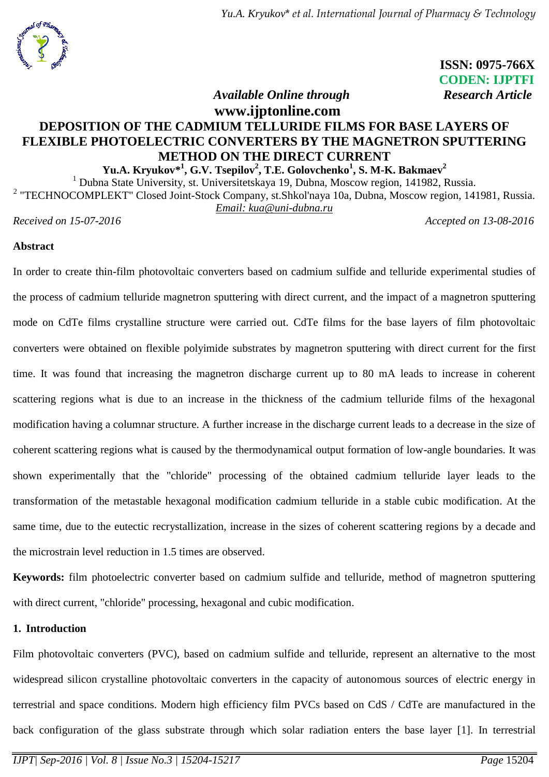

 **ISSN: 0975-766X CODEN: IJPTFI** *Available Online through* Research Article

# **www.ijptonline.com DEPOSITION OF THE CADMIUM TELLURIDE FILMS FOR BASE LAYERS OF FLEXIBLE PHOTOELECTRIC CONVERTERS BY THE MAGNETRON SPUTTERING METHOD ON THE DIRECT CURRENT**

**Yu.A. Kryukov\* 1 , G.V. Tsepilov<sup>2</sup> , T.E. Golovchenko<sup>1</sup> , S. M-K. Bakmaev<sup>2</sup>**

<sup>1</sup> Dubna State University, st. Universitetskaya 19, Dubna, Moscow region, 141982, Russia.

<sup>2</sup> "TECHNOCOMPLEKT" Closed Joint-Stock Company, st.Shkol'naya 10a, Dubna, Moscow region, 141981, Russia. *Email: kua@uni-dubna.ru*

*Received on 15-07-2016 Accepted on 13-08-2016*

## **Abstract**

In order to create thin-film photovoltaic converters based on cadmium sulfide and telluride experimental studies of the process of cadmium telluride magnetron sputtering with direct current, and the impact of a magnetron sputtering mode on CdTe films crystalline structure were carried out. CdTe films for the base layers of film photovoltaic converters were obtained on flexible polyimide substrates by magnetron sputtering with direct current for the first time. It was found that increasing the magnetron discharge current up to 80 mA leads to increase in coherent scattering regions what is due to an increase in the thickness of the cadmium telluride films of the hexagonal modification having a columnar structure. A further increase in the discharge current leads to a decrease in the size of coherent scattering regions what is caused by the thermodynamical output formation of low-angle boundaries. It was shown experimentally that the "chloride" processing of the obtained cadmium telluride layer leads to the transformation of the metastable hexagonal modification cadmium telluride in a stable cubic modification. At the same time, due to the eutectic recrystallization, increase in the sizes of coherent scattering regions by a decade and the microstrain level reduction in 1.5 times are observed.

**Keywords:** film photoelectric converter based on cadmium sulfide and telluride, method of magnetron sputtering with direct current, "chloride" processing, hexagonal and cubic modification.

## **1. Introduction**

Film photovoltaic converters (PVC), based on cadmium sulfide and telluride, represent an alternative to the most widespread silicon crystalline photovoltaic converters in the capacity of autonomous sources of electric energy in terrestrial and space conditions. Modern high efficiency film PVCs based on CdS / CdTe are manufactured in the back configuration of the glass substrate through which solar radiation enters the base layer [1]. In terrestrial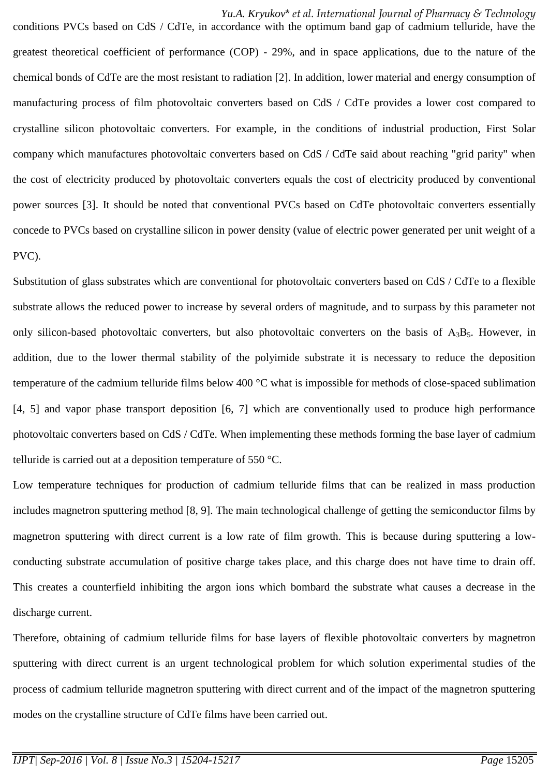*Yu.A. Kryukov*\* *et al. International Journal of Pharmacy & Technology*

conditions PVCs based on CdS / CdTe, in accordance with the optimum band gap of cadmium telluride, have the greatest theoretical coefficient of performance (COP) - 29%, and in space applications, due to the nature of the chemical bonds of CdTe are the most resistant to radiation [2]. In addition, lower material and energy consumption of manufacturing process of film photovoltaic converters based on CdS / CdTe provides a lower cost compared to crystalline silicon photovoltaic converters. For example, in the conditions of industrial production, First Solar company which manufactures photovoltaic converters based on CdS / CdTe said about reaching "grid parity" when the cost of electricity produced by photovoltaic converters equals the cost of electricity produced by conventional power sources [3]. It should be noted that conventional PVCs based on CdTe photovoltaic converters essentially concede to PVCs based on crystalline silicon in power density (value of electric power generated per unit weight of a PVC).

Substitution of glass substrates which are conventional for photovoltaic converters based on CdS / CdTe to a flexible substrate allows the reduced power to increase by several orders of magnitude, and to surpass by this parameter not only silicon-based photovoltaic converters, but also photovoltaic converters on the basis of  $A_3B_5$ . However, in addition, due to the lower thermal stability of the polyimide substrate it is necessary to reduce the deposition temperature of the cadmium telluride films below 400 °C what is impossible for methods of close-spaced sublimation [4, 5] and vapor phase transport deposition [6, 7] which are conventionally used to produce high performance photovoltaic converters based on CdS / CdTe. When implementing these methods forming the base layer of cadmium telluride is carried out at a deposition temperature of 550 °C.

Low temperature techniques for production of cadmium telluride films that can be realized in mass production includes magnetron sputtering method [8, 9]. The main technological challenge of getting the semiconductor films by magnetron sputtering with direct current is a low rate of film growth. This is because during sputtering a lowconducting substrate accumulation of positive charge takes place, and this charge does not have time to drain off. This creates a counterfield inhibiting the argon ions which bombard the substrate what causes a decrease in the discharge current.

Therefore, obtaining of cadmium telluride films for base layers of flexible photovoltaic converters by magnetron sputtering with direct current is an urgent technological problem for which solution experimental studies of the process of cadmium telluride magnetron sputtering with direct current and of the impact of the magnetron sputtering modes on the crystalline structure of CdTe films have been carried out.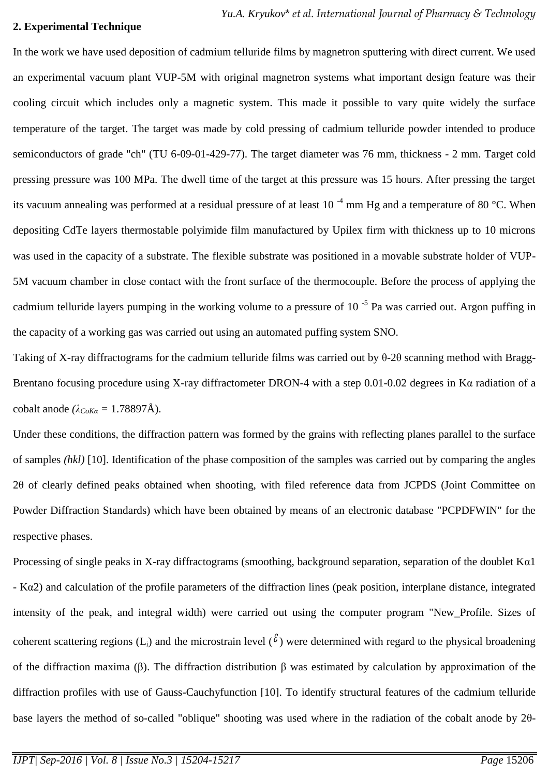## **2. Experimental Technique**

In the work we have used deposition of cadmium telluride films by magnetron sputtering with direct current. We used an experimental vacuum plant VUP-5M with original magnetron systems what important design feature was their cooling circuit which includes only a magnetic system. This made it possible to vary quite widely the surface temperature of the target. The target was made by cold pressing of cadmium telluride powder intended to produce semiconductors of grade "ch" (TU 6-09-01-429-77). The target diameter was 76 mm, thickness - 2 mm. Target cold pressing pressure was 100 MPa. The dwell time of the target at this pressure was 15 hours. After pressing the target its vacuum annealing was performed at a residual pressure of at least 10<sup>-4</sup> mm Hg and a temperature of 80 °C. When depositing CdTe layers thermostable polyimide film manufactured by Upilex firm with thickness up to 10 microns was used in the capacity of a substrate. The flexible substrate was positioned in a movable substrate holder of VUP-5M vacuum chamber in close contact with the front surface of the thermocouple. Before the process of applying the cadmium telluride layers pumping in the working volume to a pressure of  $10^{-5}$  Pa was carried out. Argon puffing in the capacity of a working gas was carried out using an automated puffing system SNO.

Taking of X-ray diffractograms for the cadmium telluride films was carried out by θ-2θ scanning method with Bragg-Brentano focusing procedure using X-ray diffractometer DRON-4 with a step 0.01-0.02 degrees in Kα radiation of a cobalt anode  $(\lambda_{CoKa} = 1.78897\text{\AA})$ .

Under these conditions, the diffraction pattern was formed by the grains with reflecting planes parallel to the surface of samples *(hkl)* [10]. Identification of the phase composition of the samples was carried out by comparing the angles 2θ of clearly defined peaks obtained when shooting, with filed reference data from JCPDS (Joint Committee on Powder Diffraction Standards) which have been obtained by means of an electronic database "PCPDFWIN" for the respective phases.

Processing of single peaks in X-ray diffractograms (smoothing, background separation, separation of the doublet Kα1 - Kα2) and calculation of the profile parameters of the diffraction lines (peak position, interplane distance, integrated intensity of the peak, and integral width) were carried out using the computer program "New\_Profile. Sizes of coherent scattering regions (L<sub>i</sub>) and the microstrain level ( $\ell$ ) were determined with regard to the physical broadening of the diffraction maxima (β). The diffraction distribution β was estimated by calculation by approximation of the diffraction profiles with use of Gauss-Cauchyfunction [10]. To identify structural features of the cadmium telluride base layers the method of so-called "oblique" shooting was used where in the radiation of the cobalt anode by 2θ-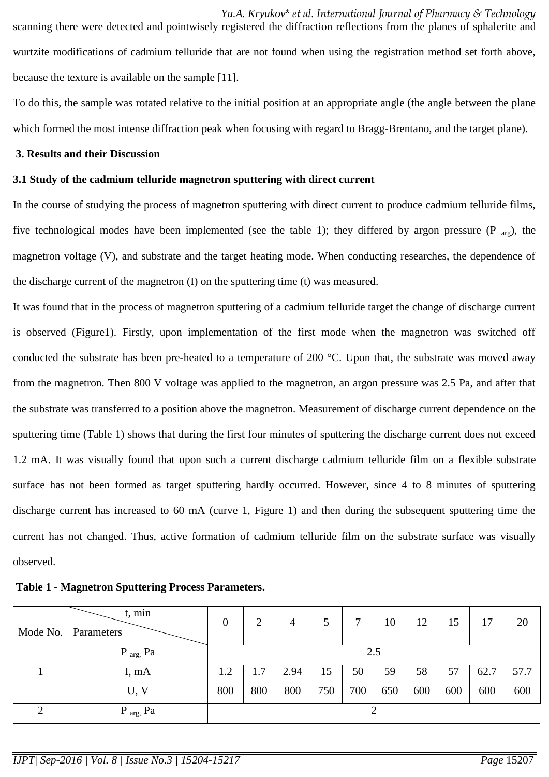*Yu.A. Kryukov*\* *et al. International Journal of Pharmacy & Technology* scanning there were detected and pointwisely registered the diffraction reflections from the planes of sphalerite and wurtzite modifications of cadmium telluride that are not found when using the registration method set forth above, because the texture is available on the sample [11].

To do this, the sample was rotated relative to the initial position at an appropriate angle (the angle between the plane which formed the most intense diffraction peak when focusing with regard to Bragg-Brentano, and the target plane).

#### **3. Results and their Discussion**

## **3.1 Study of the cadmium telluride magnetron sputtering with direct current**

In the course of studying the process of magnetron sputtering with direct current to produce cadmium telluride films, five technological modes have been implemented (see the table 1); they differed by argon pressure (P  $_{\text{aro}}$ ), the magnetron voltage (V), and substrate and the target heating mode. When conducting researches, the dependence of the discharge current of the magnetron (I) on the sputtering time (t) was measured.

It was found that in the process of magnetron sputtering of a cadmium telluride target the change of discharge current is observed (Figure1). Firstly, upon implementation of the first mode when the magnetron was switched off conducted the substrate has been pre-heated to a temperature of 200 °C. Upon that, the substrate was moved away from the magnetron. Then 800 V voltage was applied to the magnetron, an argon pressure was 2.5 Pa, and after that the substrate was transferred to a position above the magnetron. Measurement of discharge current dependence on the sputtering time (Table 1) shows that during the first four minutes of sputtering the discharge current does not exceed 1.2 mA. It was visually found that upon such a current discharge cadmium telluride film on a flexible substrate surface has not been formed as target sputtering hardly occurred. However, since 4 to 8 minutes of sputtering discharge current has increased to 60 mA (curve 1, Figure 1) and then during the subsequent sputtering time the current has not changed. Thus, active formation of cadmium telluride film on the substrate surface was visually observed.

**Table 1 - Magnetron Sputtering Process Parameters.**

| t, min<br>Mode No.   Parameters | $\boldsymbol{0}$ | 2   | 4    |     |     | 10  | 12  | 15  | 17   | 20   |
|---------------------------------|------------------|-----|------|-----|-----|-----|-----|-----|------|------|
| $P_{arg}$ , $Pa$                |                  |     |      |     | 2.5 |     |     |     |      |      |
| I, mA                           | 1.2              | 1.7 | 2.94 | 15  | 50  | 59  | 58  | 57  | 62.7 | 57.7 |
| U, V                            | 800              | 800 | 800  | 750 | 700 | 650 | 600 | 600 | 600  | 600  |
| $P_{arg}$ , $Pa$                |                  |     |      |     |     |     |     |     |      |      |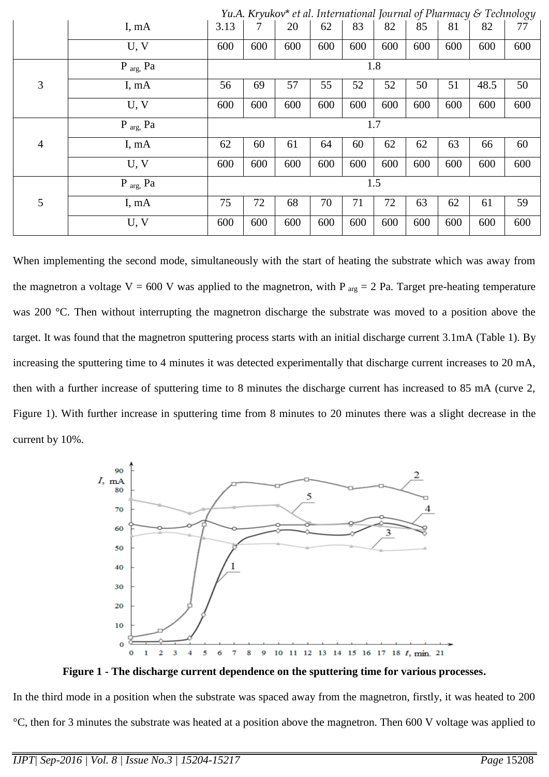|                | Yu.A. Kryukov* et al. International Journal of Pharmacy & Technology |      |     |     |     |     |     |     |     |      |     |
|----------------|----------------------------------------------------------------------|------|-----|-----|-----|-----|-----|-----|-----|------|-----|
|                | I, mA                                                                | 3.13 |     | 20  | 62  | 83  | 82  | 85  | 81  | 82   | 77  |
|                | U, V                                                                 | 600  | 600 | 600 | 600 | 600 | 600 | 600 | 600 | 600  | 600 |
|                | $P_{arg}$ , Pa                                                       | 1.8  |     |     |     |     |     |     |     |      |     |
| 3              | I, mA                                                                | 56   | 69  | 57  | 55  | 52  | 52  | 50  | 51  | 48.5 | 50  |
|                | U, V                                                                 | 600  | 600 | 600 | 600 | 600 | 600 | 600 | 600 | 600  | 600 |
|                | $P_{arg}$ , $Pa$                                                     | 1.7  |     |     |     |     |     |     |     |      |     |
| $\overline{4}$ | I, mA                                                                | 62   | 60  | 61  | 64  | 60  | 62  | 62  | 63  | 66   | 60  |
|                | U, V                                                                 | 600  | 600 | 600 | 600 | 600 | 600 | 600 | 600 | 600  | 600 |
|                | $P_{arg}$ , $Pa$                                                     | 1.5  |     |     |     |     |     |     |     |      |     |
| 5              | I, mA                                                                | 75   | 72  | 68  | 70  | 71  | 72  | 63  | 62  | 61   | 59  |
|                | U, V                                                                 | 600  | 600 | 600 | 600 | 600 | 600 | 600 | 600 | 600  | 600 |

When implementing the second mode, simultaneously with the start of heating the substrate which was away from the magnetron a voltage V = 600 V was applied to the magnetron, with P  $_{\text{arg}}$  = 2 Pa. Target pre-heating temperature was 200 °C. Then without interrupting the magnetron discharge the substrate was moved to a position above the target. It was found that the magnetron sputtering process starts with an initial discharge current 3.1mA (Table 1). By increasing the sputtering time to 4 minutes it was detected experimentally that discharge current increases to 20 mA, then with a further increase of sputtering time to 8 minutes the discharge current has increased to 85 mA (curve 2, Figure 1). With further increase in sputtering time from 8 minutes to 20 minutes there was a slight decrease in the current by 10%.



**Figure 1 - The discharge current dependence on the sputtering time for various processes.**

In the third mode in a position when the substrate was spaced away from the magnetron, firstly, it was heated to 200 °C, then for 3 minutes the substrate was heated at a position above the magnetron. Then 600 V voltage was applied to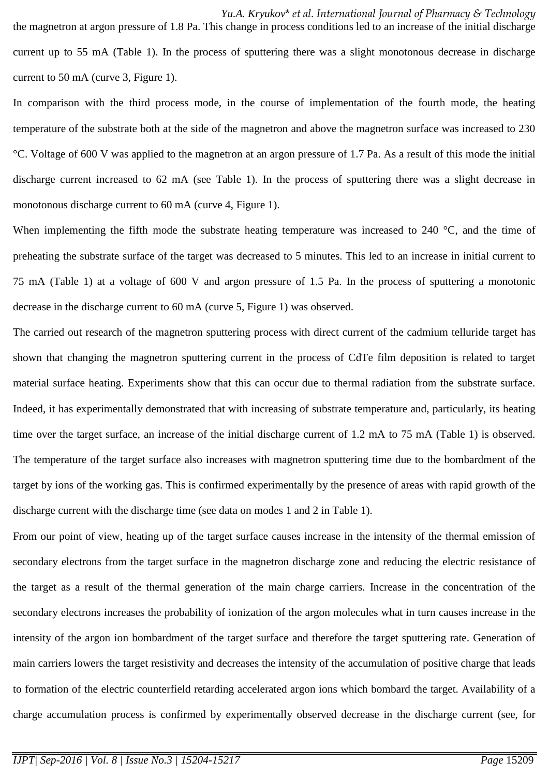*Yu.A. Kryukov*\* *et al. International Journal of Pharmacy & Technology* the magnetron at argon pressure of 1.8 Pa. This change in process conditions led to an increase of the initial discharge current up to 55 mA (Table 1). In the process of sputtering there was a slight monotonous decrease in discharge current to 50 mA (curve 3, Figure 1).

In comparison with the third process mode, in the course of implementation of the fourth mode, the heating temperature of the substrate both at the side of the magnetron and above the magnetron surface was increased to 230 °C. Voltage of 600 V was applied to the magnetron at an argon pressure of 1.7 Pa. As a result of this mode the initial discharge current increased to 62 mA (see Table 1). In the process of sputtering there was a slight decrease in monotonous discharge current to 60 mA (curve 4, Figure 1).

When implementing the fifth mode the substrate heating temperature was increased to 240 °C, and the time of preheating the substrate surface of the target was decreased to 5 minutes. This led to an increase in initial current to 75 mA (Table 1) at a voltage of 600 V and argon pressure of 1.5 Pa. In the process of sputtering a monotonic decrease in the discharge current to 60 mA (curve 5, Figure 1) was observed.

The carried out research of the magnetron sputtering process with direct current of the cadmium telluride target has shown that changing the magnetron sputtering current in the process of CdTe film deposition is related to target material surface heating. Experiments show that this can occur due to thermal radiation from the substrate surface. Indeed, it has experimentally demonstrated that with increasing of substrate temperature and, particularly, its heating time over the target surface, an increase of the initial discharge current of 1.2 mA to 75 mA (Table 1) is observed. The temperature of the target surface also increases with magnetron sputtering time due to the bombardment of the target by ions of the working gas. This is confirmed experimentally by the presence of areas with rapid growth of the discharge current with the discharge time (see data on modes 1 and 2 in Table 1).

From our point of view, heating up of the target surface causes increase in the intensity of the thermal emission of secondary electrons from the target surface in the magnetron discharge zone and reducing the electric resistance of the target as a result of the thermal generation of the main charge carriers. Increase in the concentration of the secondary electrons increases the probability of ionization of the argon molecules what in turn causes increase in the intensity of the argon ion bombardment of the target surface and therefore the target sputtering rate. Generation of main carriers lowers the target resistivity and decreases the intensity of the accumulation of positive charge that leads to formation of the electric counterfield retarding accelerated argon ions which bombard the target. Availability of a charge accumulation process is confirmed by experimentally observed decrease in the discharge current (see, for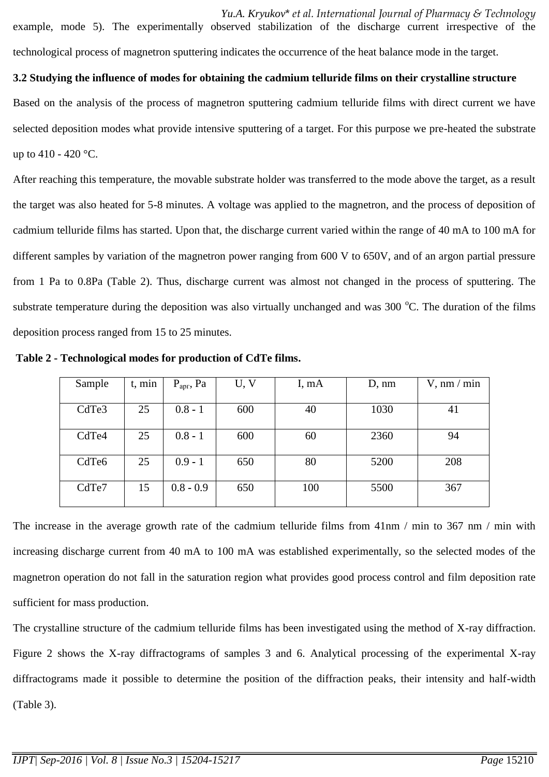*Yu.A. Kryukov*\* *et al. International Journal of Pharmacy & Technology* example, mode 5). The experimentally observed stabilization of the discharge current irrespective of the technological process of magnetron sputtering indicates the occurrence of the heat balance mode in the target.

## **3.2 Studying the influence of modes for obtaining the cadmium telluride films on their crystalline structure**

Based on the analysis of the process of magnetron sputtering cadmium telluride films with direct current we have selected deposition modes what provide intensive sputtering of a target. For this purpose we pre-heated the substrate up to 410 - 420 °C.

After reaching this temperature, the movable substrate holder was transferred to the mode above the target, as a result the target was also heated for 5-8 minutes. A voltage was applied to the magnetron, and the process of deposition of cadmium telluride films has started. Upon that, the discharge current varied within the range of 40 mA to 100 mA for different samples by variation of the magnetron power ranging from 600 V to 650V, and of an argon partial pressure from 1 Pa to 0.8Pa (Table 2). Thus, discharge current was almost not changed in the process of sputtering. The substrate temperature during the deposition was also virtually unchanged and was 300 °C. The duration of the films deposition process ranged from 15 to 25 minutes.

| Sample            | t, min | $P_{apr}$ , Pa | U, V | I, mA | D, nm | $V, \text{nm} / \text{min}$ |
|-------------------|--------|----------------|------|-------|-------|-----------------------------|
|                   |        |                |      |       |       |                             |
| CdTe3             | 25     | $0.8 - 1$      | 600  | 40    | 1030  | 41                          |
|                   |        |                |      |       |       |                             |
| CdTe4             | 25     | $0.8 - 1$      | 600  | 60    | 2360  | 94                          |
|                   |        |                |      |       |       |                             |
| CdTe <sub>6</sub> | 25     | $0.9 - 1$      | 650  | 80    | 5200  | 208                         |
|                   |        |                |      |       |       |                             |
| CdTe7             | 15     | $0.8 - 0.9$    | 650  | 100   | 5500  | 367                         |
|                   |        |                |      |       |       |                             |

**Table 2 - Technological modes for production of CdTe films.**

The increase in the average growth rate of the cadmium telluride films from 41nm / min to 367 nm / min with increasing discharge current from 40 mA to 100 mA was established experimentally, so the selected modes of the magnetron operation do not fall in the saturation region what provides good process control and film deposition rate sufficient for mass production.

The crystalline structure of the cadmium telluride films has been investigated using the method of X-ray diffraction. Figure 2 shows the X-ray diffractograms of samples 3 and 6. Analytical processing of the experimental X-ray diffractograms made it possible to determine the position of the diffraction peaks, their intensity and half-width (Table 3).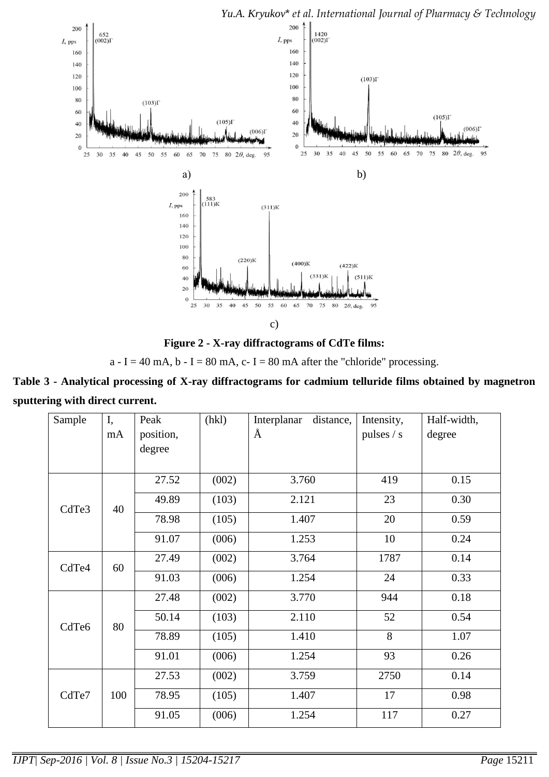

c)

**Figure 2 - X-ray diffractograms of CdTe films:** 

a - I = 40 mA, b - I = 80 mA, c- I = 80 mA after the "chloride" processing.

**Table 3 - Analytical processing of X-ray diffractograms for cadmium telluride films obtained by magnetron sputtering with direct current.**

| Sample | I,<br>mA | Peak<br>position,<br>degree | (hkl) | Interplanar<br>distance,<br>Å | Intensity,<br>pulses / s | Half-width,<br>degree |
|--------|----------|-----------------------------|-------|-------------------------------|--------------------------|-----------------------|
|        |          | 27.52                       | (002) | 3.760                         | 419                      | 0.15                  |
| CdTe3  | 40       | 49.89                       | (103) | 2.121                         | 23                       | 0.30                  |
|        |          | 78.98                       | (105) | 1.407                         | 20                       | 0.59                  |
|        |          | 91.07                       | (006) | 1.253                         | 10                       | 0.24                  |
| CdTe4  | 60       | 27.49                       | (002) | 3.764                         | 1787                     | 0.14                  |
|        |          | 91.03                       | (006) | 1.254                         | 24                       | 0.33                  |
|        | 80       | 27.48                       | (002) | 3.770                         | 944                      | 0.18                  |
| CdTe6  |          | 50.14                       | (103) | 2.110                         | 52                       | 0.54                  |
|        |          | 78.89                       | (105) | 1.410                         | 8                        | 1.07                  |
|        |          | 91.01                       | (006) | 1.254                         | 93                       | 0.26                  |
| CdTe7  |          | 27.53                       | (002) | 3.759                         | 2750                     | 0.14                  |
|        | 100      | 78.95                       | (105) | 1.407                         | 17                       | 0.98                  |
|        |          | 91.05                       | (006) | 1.254                         | 117                      | 0.27                  |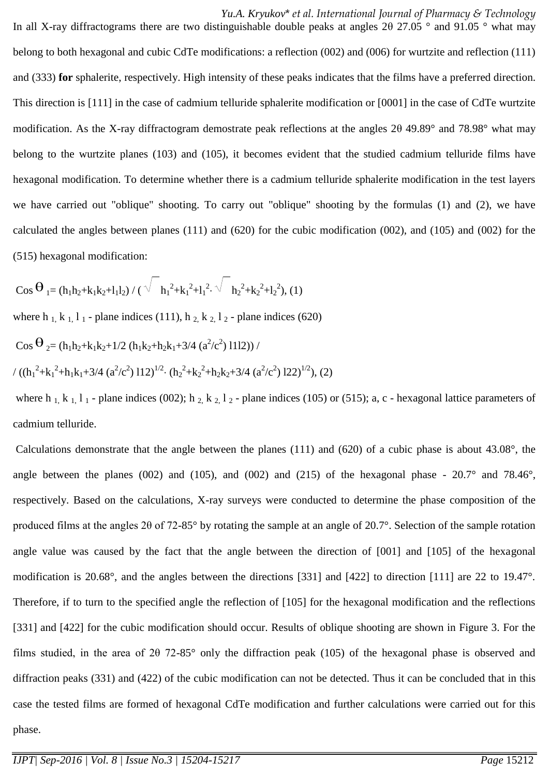*Yu.A. Kryukov*\* *et al. International Journal of Pharmacy & Technology* In all X-ray diffractograms there are two distinguishable double peaks at angles 2θ 27.05 ° and 91.05 ° what may belong to both hexagonal and cubic CdTe modifications: a reflection (002) and (006) for wurtzite and reflection (111) and (333) **for** sphalerite, respectively. High intensity of these peaks indicates that the films have a preferred direction. This direction is [111] in the case of cadmium telluride sphalerite modification or [0001] in the case of CdTe wurtzite modification. As the X-ray diffractogram demostrate peak reflections at the angles 2θ 49.89° and 78.98° what may belong to the wurtzite planes (103) and (105), it becomes evident that the studied cadmium telluride films have hexagonal modification. To determine whether there is a cadmium telluride sphalerite modification in the test layers we have carried out "oblique" shooting. To carry out "oblique" shooting by the formulas (1) and (2), we have calculated the angles between planes (111) and (620) for the cubic modification (002), and (105) and (002) for the (515) hexagonal modification:

$$
Cos\,\Theta_{1}=(h_{1}h_{2}+k_{1}k_{2}+l_{1}l_{2})\,/\,(\sqrt{-h_{1}^{2}+k_{1}^{2}+l_{1}^{2}},\sqrt{-h_{2}^{2}+k_{2}^{2}+l_{2}^{2}}),\,(1)
$$

where h  $_1$ , k  $_1$ , l  $_1$  - plane indices (111), h  $_2$ , k  $_2$ , l  $_2$  - plane indices (620)

$$
Cos \Theta_2 = (h_1 h_2 + k_1 k_2 + 1/2 (h_1 k_2 + h_2 k_1 + 3/4 (a^2/c^2) 1112)) /
$$

$$
/((h_1^2+{k_1}^2+h_1{k_1}+3/4~(a^2/c^2)~112)^{1/2} \cdot (h_2^2+{k_2}^2+h_2{k_2}+3/4~(a^2/c^2)~122)^{1/2}), (2)
$$

where h 1, k 1, l 1 - plane indices (002); h 2, k 2, l 2 - plane indices (105) or (515); a, c - hexagonal lattice parameters of cadmium telluride.

Calculations demonstrate that the angle between the planes (111) and (620) of a cubic phase is about 43.08°, the angle between the planes (002) and (105), and (002) and (215) of the hexagonal phase -  $20.7^\circ$  and 78.46°, respectively. Based on the calculations, X-ray surveys were conducted to determine the phase composition of the produced films at the angles 2θ of 72-85° by rotating the sample at an angle of 20.7°. Selection of the sample rotation angle value was caused by the fact that the angle between the direction of [001] and [105] of the hexagonal modification is 20.68°, and the angles between the directions [331] and [422] to direction [111] are 22 to 19.47°. Therefore, if to turn to the specified angle the reflection of [105] for the hexagonal modification and the reflections [331] and [422] for the cubic modification should occur. Results of oblique shooting are shown in Figure 3. For the films studied, in the area of 2θ 72-85° only the diffraction peak (105) of the hexagonal phase is observed and diffraction peaks (331) and (422) of the cubic modification can not be detected. Thus it can be concluded that in this case the tested films are formed of hexagonal CdTe modification and further calculations were carried out for this phase.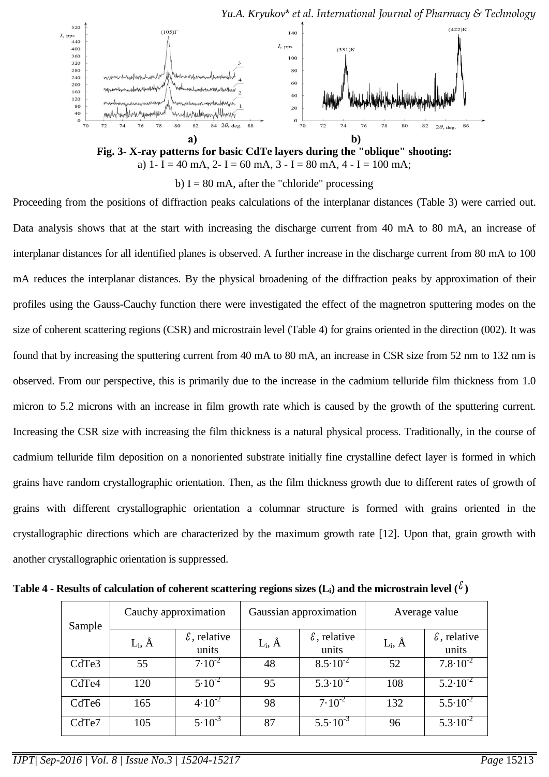

b) I = 80 mA, after the "chloride" processing

Proceeding from the positions of diffraction peaks calculations of the interplanar distances (Table 3) were carried out. Data analysis shows that at the start with increasing the discharge current from 40 mA to 80 mA, an increase of interplanar distances for all identified planes is observed. A further increase in the discharge current from 80 mA to 100 mA reduces the interplanar distances. By the physical broadening of the diffraction peaks by approximation of their profiles using the Gauss-Cauchy function there were investigated the effect of the magnetron sputtering modes on the size of coherent scattering regions (CSR) and microstrain level (Table 4) for grains oriented in the direction (002). It was found that by increasing the sputtering current from 40 mA to 80 mA, an increase in CSR size from 52 nm to 132 nm is observed. From our perspective, this is primarily due to the increase in the cadmium telluride film thickness from 1.0 micron to 5.2 microns with an increase in film growth rate which is caused by the growth of the sputtering current. Increasing the CSR size with increasing the film thickness is a natural physical process. Traditionally, in the course of cadmium telluride film deposition on a nonoriented substrate initially fine crystalline defect layer is formed in which grains have random crystallographic orientation. Then, as the film thickness growth due to different rates of growth of grains with different crystallographic orientation a columnar structure is formed with grains oriented in the crystallographic directions which are characterized by the maximum growth rate [12]. Upon that, grain growth with another crystallographic orientation is suppressed.

| Sample            | Cauchy approximation |                                |               | Gaussian approximation         | Average value |                                |
|-------------------|----------------------|--------------------------------|---------------|--------------------------------|---------------|--------------------------------|
|                   | $L_i$ , $\AA$        | $\epsilon$ , relative<br>units | $L_i$ , $\AA$ | $\epsilon$ , relative<br>units | $L_i$ , $\AA$ | $\epsilon$ , relative<br>units |
| CdTe3             | 55                   | $7.10^{-2}$                    | 48            | $8.5 \cdot 10^{-2}$            | 52            | $7.8 \cdot 10^{-2}$            |
| CdTe4             | 120                  | $5.10^{-2}$                    | 95            | $5.3 \cdot 10^{-2}$            | 108           | $5.2 \cdot 10^{-2}$            |
| CdTe <sub>6</sub> | 165                  | $4.10^{-2}$                    | 98            | $7.10^{-2}$                    | 132           | $5.5 \cdot 10^{-2}$            |
| CdTe7             | 105                  | $5.10^{-3}$                    | 87            | $5.5 \cdot 10^{-3}$            | 96            | $5.3 \cdot 10^{-2}$            |

Table 4 - Results of calculation of coherent scattering regions sizes (L<sub>i</sub>) and the microstrain level (  $^\ell$  )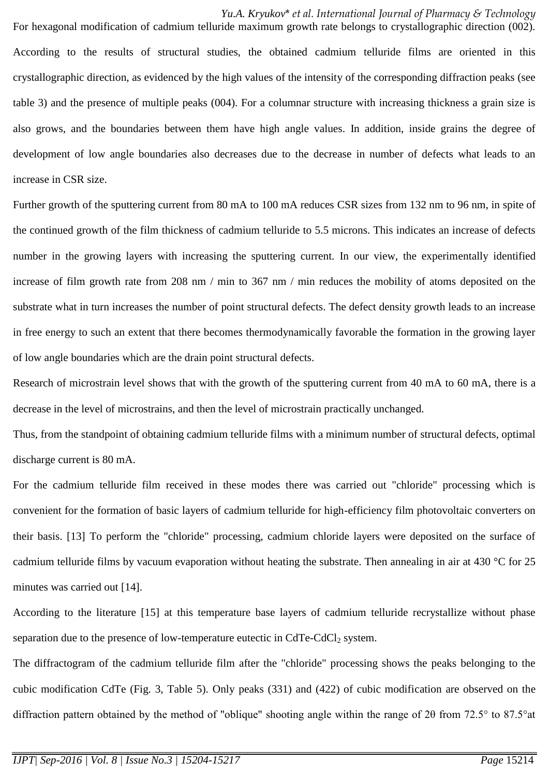*Yu.A. Kryukov*\* *et al. International Journal of Pharmacy & Technology* For hexagonal modification of cadmium telluride maximum growth rate belongs to crystallographic direction (002). According to the results of structural studies, the obtained cadmium telluride films are oriented in this crystallographic direction, as evidenced by the high values of the intensity of the corresponding diffraction peaks (see table 3) and the presence of multiple peaks (004). For a columnar structure with increasing thickness a grain size is also grows, and the boundaries between them have high angle values. In addition, inside grains the degree of development of low angle boundaries also decreases due to the decrease in number of defects what leads to an increase in CSR size.

Further growth of the sputtering current from 80 mA to 100 mA reduces CSR sizes from 132 nm to 96 nm, in spite of the continued growth of the film thickness of cadmium telluride to 5.5 microns. This indicates an increase of defects number in the growing layers with increasing the sputtering current. In our view, the experimentally identified increase of film growth rate from 208 nm / min to 367 nm / min reduces the mobility of atoms deposited on the substrate what in turn increases the number of point structural defects. The defect density growth leads to an increase in free energy to such an extent that there becomes thermodynamically favorable the formation in the growing layer of low angle boundaries which are the drain point structural defects.

Research of microstrain level shows that with the growth of the sputtering current from 40 mA to 60 mA, there is a decrease in the level of microstrains, and then the level of microstrain practically unchanged.

Thus, from the standpoint of obtaining cadmium telluride films with a minimum number of structural defects, optimal discharge current is 80 mA.

For the cadmium telluride film received in these modes there was carried out "chloride" processing which is convenient for the formation of basic layers of cadmium telluride for high-efficiency film photovoltaic converters on their basis. [13] To perform the "chloride" processing, cadmium chloride layers were deposited on the surface of cadmium telluride films by vacuum evaporation without heating the substrate. Then annealing in air at  $430\text{ °C}$  for  $25$ minutes was carried out [14].

According to the literature [15] at this temperature base layers of cadmium telluride recrystallize without phase separation due to the presence of low-temperature eutectic in CdTe-CdCl<sub>2</sub> system.

The diffractogram of the cadmium telluride film after the "chloride" processing shows the peaks belonging to the cubic modification CdTe (Fig. 3, Table 5). Only peaks (331) and (422) of cubic modification are observed on the diffraction pattern obtained by the method of "oblique" shooting angle within the range of 2θ from 72.5° to 87.5°at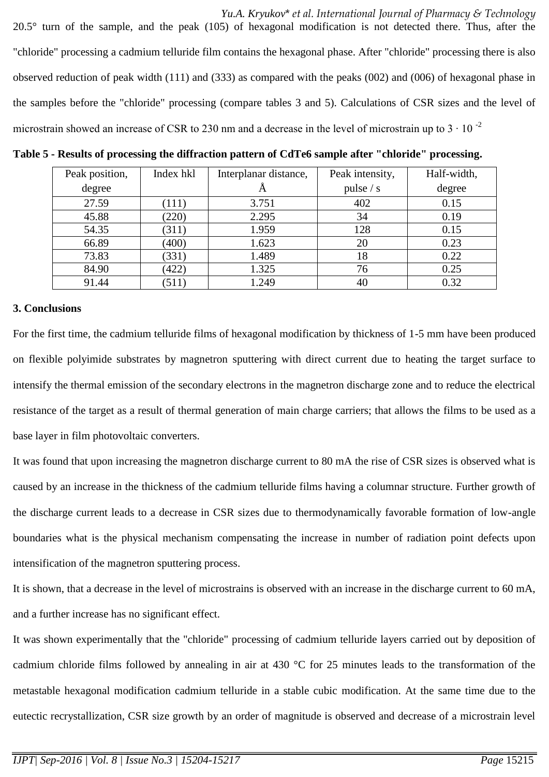*Yu.A. Kryukov*\* *et al. International Journal of Pharmacy & Technology* 20.5° turn of the sample, and the peak (105) of hexagonal modification is not detected there. Thus, after the "chloride" processing a cadmium telluride film contains the hexagonal phase. After "chloride" processing there is also observed reduction of peak width (111) and (333) as compared with the peaks (002) and (006) of hexagonal phase in the samples before the "chloride" processing (compare tables 3 and 5). Calculations of CSR sizes and the level of microstrain showed an increase of CSR to 230 nm and a decrease in the level of microstrain up to  $3 \cdot 10^{-2}$ 

| Peak position, | Index hkl | Interplanar distance, | Peak intensity, | Half-width, |
|----------------|-----------|-----------------------|-----------------|-------------|
| degree         |           | $\Delta$              | pulse $/s$      | degree      |
| 27.59          | (111)     | 3.751                 | 402             | 0.15        |
| 45.88          | (220)     | 2.295                 | 34              | 0.19        |
| 54.35          | (311)     | 1.959                 | 128             | 0.15        |
| 66.89          | (400)     | 1.623                 | 20              | 0.23        |
| 73.83          | (331)     | 1.489                 | 18              | 0.22        |
| 84.90          | (422)     | 1.325                 | 76              | 0.25        |
| 91.44          | (511)     | 1.249                 | 40              | 0.32        |

**Table 5 - Results of processing the diffraction pattern of CdTe6 sample after "chloride" processing.**

#### **3. Conclusions**

For the first time, the cadmium telluride films of hexagonal modification by thickness of 1-5 mm have been produced on flexible polyimide substrates by magnetron sputtering with direct current due to heating the target surface to intensify the thermal emission of the secondary electrons in the magnetron discharge zone and to reduce the electrical resistance of the target as a result of thermal generation of main charge carriers; that allows the films to be used as a base layer in film photovoltaic converters.

It was found that upon increasing the magnetron discharge current to 80 mA the rise of CSR sizes is observed what is caused by an increase in the thickness of the cadmium telluride films having a columnar structure. Further growth of the discharge current leads to a decrease in CSR sizes due to thermodynamically favorable formation of low-angle boundaries what is the physical mechanism compensating the increase in number of radiation point defects upon intensification of the magnetron sputtering process.

It is shown, that a decrease in the level of microstrains is observed with an increase in the discharge current to 60 mA, and a further increase has no significant effect.

It was shown experimentally that the "chloride" processing of cadmium telluride layers carried out by deposition of cadmium chloride films followed by annealing in air at 430 °C for 25 minutes leads to the transformation of the metastable hexagonal modification cadmium telluride in a stable cubic modification. At the same time due to the eutectic recrystallization, CSR size growth by an order of magnitude is observed and decrease of a microstrain level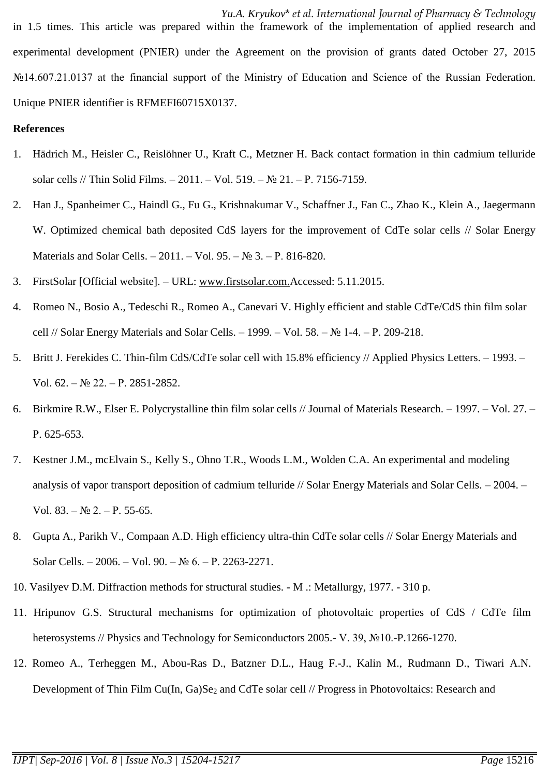*Yu.A. Kryukov*\* *et al. International Journal of Pharmacy & Technology* in 1.5 times. This article was prepared within the framework of the implementation of applied research and experimental development (PNIER) under the Agreement on the provision of grants dated October 27, 2015 №14.607.21.0137 at the financial support of the Ministry of Education and Science of the Russian Federation. Unique PNIER identifier is RFMEFI60715X0137.

## **References**

- 1. Hädrich M., Heisler C., Reislöhner U., Kraft C., Metzner H. Back contact formation in thin cadmium telluride solar cells // Thin Solid Films. – 2011. – Vol. 519. – № 21. – Р. 7156-7159.
- 2. Han J., Spanheimer C., Haindl G., Fu G., Krishnakumar V., Schaffner J., Fan C., Zhao K., Klein A., Jaegermann W. Optimized chemical bath deposited CdS layers for the improvement of CdTe solar cells // Solar Energy Materials and Solar Cells. – 2011. – Vol. 95. – № 3. – Р. 816-820.
- 3. FirstSolar [Official website]. URL: [www.firstsolar.com.](http://www.firstsolar.com/)Accessed: 5.11.2015.
- 4. Romeo N., Bosio A., Tedeschi R., Romeo A., Canevari V. Highly efficient and stable CdTe/CdS thin film solar cell // Solar Energy Materials and Solar Cells. – 1999. – Vol. 58. – № 1-4. – Р. 209-218.
- 5. Britt J. Ferekides C. Thin-film CdS/CdTe solar cell with 15.8% efficiency // Applied Physics Letters. 1993. Vol. 62. – № 22. – Р. 2851-2852.
- 6. Birkmire R.W., Elser E. Polycrystalline thin film solar cells // Journal of Materials Research. 1997. Vol. 27. Р. 625-653.
- 7. Kestner J.M., mcElvain S., Kelly S., Ohno T.R., Woods L.M., Wolden C.A. An experimental and modeling analysis of vapor transport deposition of cadmium telluride // Solar Energy Materials and Solar Cells. – 2004. – Vol. 83. –  $\mathbb{N}^{\circ}$  2. – P. 55-65.
- 8. Gupta A., Parikh V., Compaan A.D. High efficiency ultra-thin CdTe solar cells // Solar Energy Materials and Solar Cells. – 2006. – Vol. 90. –  $N_2$  6. – P. 2263-2271.
- 10. Vasilyev D.M. Diffraction methods for structural studies. M .: Metallurgy, 1977. 310 p.
- 11. Hripunov G.S. Structural mechanisms for optimization of photovoltaic properties of CdS / CdTe film heterosystems // Physics and Technology for Semiconductors 2005.- V. 39, №10.-P.1266-1270.
- 12. Romeo A., Terheggen M., Abou-Ras D., Batzner D.L., Haug F.-J., Kalin M., Rudmann D., Tiwari A.N. Development of Thin Film Cu(In, Ga)Se<sub>2</sub> and CdTe solar cell // Progress in Photovoltaics: Research and